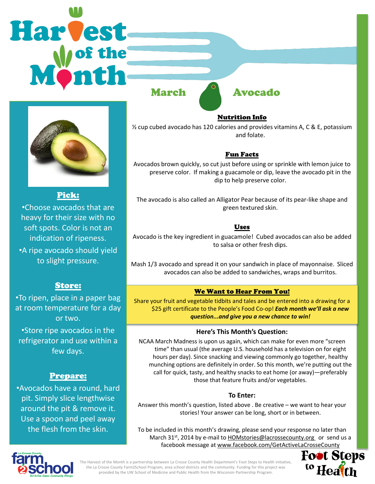# Harvest March Avocado



Pick:

•Choose avocados that are heavy for their size with no soft spots. Color is not an indication of ripeness. •A ripe avocado should yield to slight pressure.

# Store:

•To ripen, place in a paper bag at room temperature for a day or two.

•Store ripe avocados in the refrigerator and use within a few days.

# Prepare:

•Avocados have a round, hard pit. Simply slice lengthwise around the pit & remove it. Use a spoon and peel away the flesh from the skin.

Nutrition Info

½ cup cubed avocado has 120 calories and provides vitamins A, C & E, potassium and folate.

# Fun Facts

Avocados brown quickly, so cut just before using or sprinkle with lemon juice to preserve color. If making a guacamole or dip, leave the avocado pit in the dip to help preserve color.

The avocado is also called an Alligator Pear because of its pear-like shape and green textured skin.

# Uses

Avocado is the key ingredient in guacamole! Cubed avocados can also be added to salsa or other fresh dips.

Mash 1/3 avocado and spread it on your sandwich in place of mayonnaise. Sliced avocados can also be added to sandwiches, wraps and burritos.

# We Want to Hear From You!

Share your fruit and vegetable tidbits and tales and be entered into a drawing for a \$25 gift certificate to the People's Food Co-op! *Each month we'll ask a new question...and give you a new chance to win!* 

### **Here's This Month's Question:**

NCAA March Madness is upon us again, which can make for even more "screen time" than usual (the average U.S. household has a television on for eight hours per day). Since snacking and viewing commonly go together, healthy munching options are definitely in order. So this month, we're putting out the call for quick, tasty, and healthy snacks to eat home (or away)—preferably those that feature fruits and/or vegetables.

### **To Enter:**

Answer this month's question, listed above . Be creative – we want to hear your stories! Your answer can be long, short or in between.

To be included in this month's drawing, please send your response no later than March 31<sup>st</sup>, 2014 by e-mail to **HOMstories@lacrossecounty.org** or send us a facebook message at www.facebook.com/GetActiveLaCrosseCounty





The Harvest of the Month is a partnership between La Crosse County Health Department's Foot Steps to Health initiative, the La Crosse County Farm2School Program, area school districts and the community. Funding for this project was provided by the UW School of Medicine and Public Health from the Wisconsin Partnership Program.